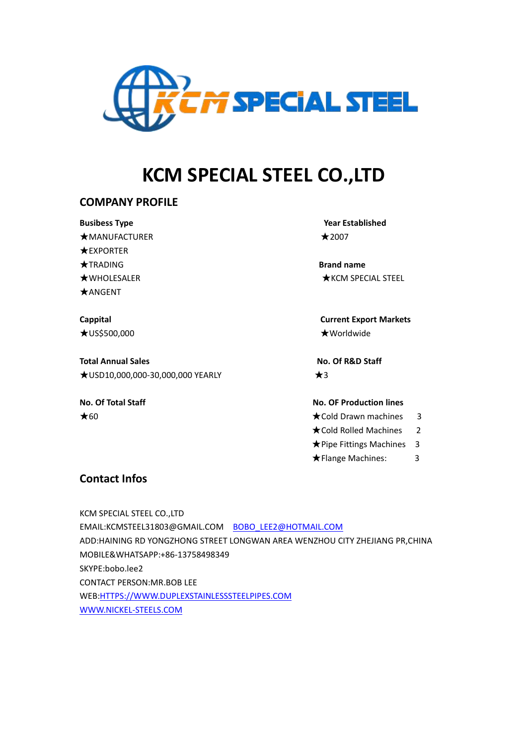

# **KCM SPECIAL STEEL CO.,LTD**

### **COMPANY PROFILE**

**Busibess Type Year Established**  $\star$ MANUFACTURER  $\star$ 2007 ★EXPORTER ★TRADING **Brand name** ★ANGENT

★US\$500,000 ★Worldwide

**Total Annual Sales No. Of R&D Staff** ★USD10,000,000-30,000,000 YEARLY ★3

★WHOLESALER ★KCM SPECIAL STEEL

**Cappital Current Export Markets**

**No. Of Total Staff No. OF Production lines**

- $\bigstar$ 60  $\bigstar$ 60  $\bigstar$ 60  $\bigstar$ 60  $\bigstar$ 60  $\bigstar$ 60  $\bigstar$ 60  $\bigstar$ 60  $\bigstar$ 60  $\bigstar$ 60  $\bigstar$ 60  $\bigstar$ 60  $\bigstar$ 60  $\bigstar$ 60  $\bigstar$ 60  $\bigstar$ 60  $\bigstar$ 60  $\bigstar$ 60  $\bigstar$ 60  $\bigstar$ 60  $\bigstar$ 60  $\bigstar$ 60  $\bigstar$ 60  $\bigstar$ 60  $\bigstar$ 60  $\bigstar$ 60  $\bigstar$ 60  $\bigstar$ 
	- ★Cold Rolled Machines 2
	- ★Pipe Fittings Machines 3
	- **★Flange Machines:**3

## **Contact Infos**

KCM SPECIAL STEEL CO.,LTD EMAIL:KCMSTEEL31803@GMAIL.COM [BOBO\\_LEE2@HOTMAIL.COM](mailto:BOBO_LEE2@HOTMAIL.COM) ADD:HAINING RD YONGZHONG STREET LONGWAN AREA WENZHOU CITY ZHEJIANG PR,CHINA MOBILE&WHATSAPP:+86-13758498349 SKYPE:bobo.lee2 CONTACT PERSON:MR.BOB LEE WEB:[HTTPS://WWW.DUPLEXSTAINLESSSTEELPIPES.COM](https://www.duplexstainlesssteelpipes.com) [WWW.NICKEL-STEELS.COM](http://www.nickel-steels.com)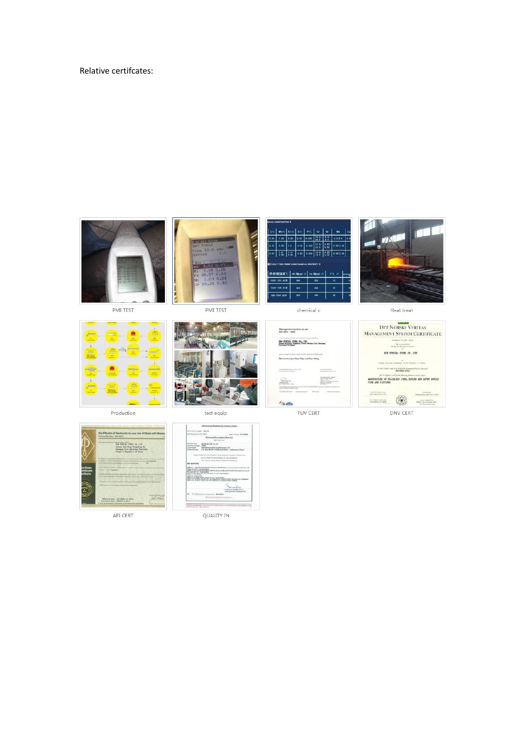#### Relative certifcates:









PMI TEST



Production



test equip



 $200$ 

TUV CERT

Heat treat



DNV CERT



API CERT



QUALITY IN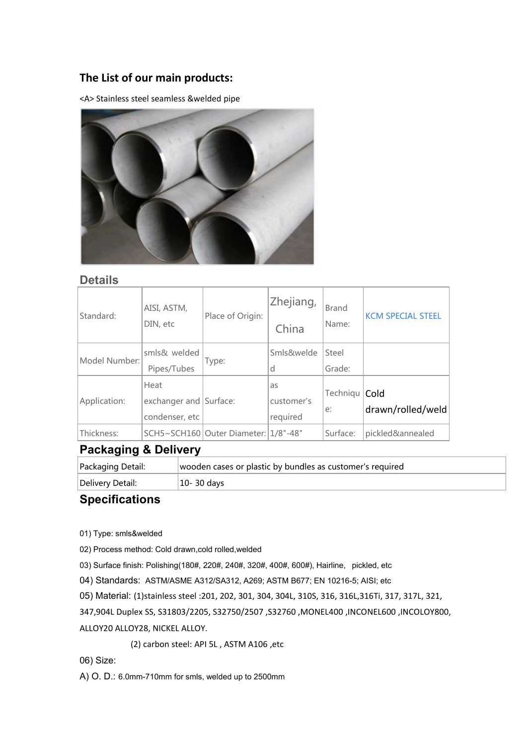# **The List of our main products:**

<A> Stainless steel seamless &welded pipe



#### **Details**

| Standard:     | AISI, ASTM,<br>DIN, etc                          | Place of Origin:                         | Zhejiang,<br>China           | <b>Brand</b><br>Name: | <b>KCM SPECIAL STEEL</b> |
|---------------|--------------------------------------------------|------------------------------------------|------------------------------|-----------------------|--------------------------|
| Model Number: | smls& welded<br>Pipes/Tubes                      | Type:                                    | Smls&welde<br>d              | Steel<br>Grade:       |                          |
| Application:  | Heat<br>exchanger and Surface:<br>condenser, etc |                                          | as<br>customer's<br>required | Techniqu   Cold<br>e: | drawn/rolled/weld        |
| Thickness:    |                                                  | SCH5~SCH160   Outer Diameter:   1/8"-48" |                              | Surface:              | pickled&annealed         |

## **Packaging & Delivery**

| Packaging Detail: | wooden cases or plastic by bundles as customer's required |  |
|-------------------|-----------------------------------------------------------|--|
| Delivery Detail:  | 10-30 days                                                |  |

## **Specifications**

01) Type: smls&welded

02) Process method: Cold drawn,cold rolled,welded

03) Surface finish: Polishing(180#, 220#, 240#, 320#, 400#, 600#), Hairline, pickled, etc

04) Standards: ASTM/ASME A312/SA312, A269; ASTM B677; EN 10216-5; AISI; etc

05) Material: (1)stainless steel :201, 202, 301, 304, 304L, 310S, 316, 316L,316Ti, 317, 317L, 321,

347,904L Duplex SS, S31803/2205, S32750/2507 ,S32760 ,MONEL400 ,INCONEL600 ,INCOLOY800,

ALLOY20 ALLOY28, NICKEL ALLOY.

(2) carbon steel: API 5L , ASTM A106 ,etc

06) Size:

A) O. D.: 6.0mm-710mm for smls, welded up to 2500mm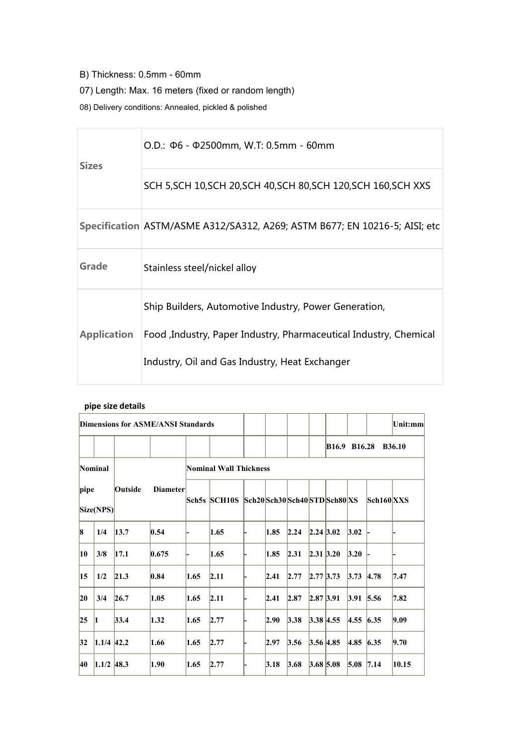- B) Thickness: 0.5mm 60mm
- 07) Length: Max. 16 meters (fixed or random length)
- 08) Delivery conditions: Annealed, pickled & polished

| O.D.: $\Phi$ 6 - $\Phi$ 2500mm, W.T: 0.5mm - 60mm<br><b>Sizes</b><br>SCH 5, SCH 10, SCH 20, SCH 40, SCH 80, SCH 120, SCH 160, SCH XXS<br>Specification ASTM/ASME A312/SA312, A269; ASTM B677; EN 10216-5; AISI; etc<br>Grade<br>Stainless steel/nickel alloy<br>Ship Builders, Automotive Industry, Power Generation,<br><b>Application</b><br>Food , Industry, Paper Industry, Pharmaceutical Industry, Chemical<br>Industry, Oil and Gas Industry, Heat Exchanger |  |  |
|---------------------------------------------------------------------------------------------------------------------------------------------------------------------------------------------------------------------------------------------------------------------------------------------------------------------------------------------------------------------------------------------------------------------------------------------------------------------|--|--|
|                                                                                                                                                                                                                                                                                                                                                                                                                                                                     |  |  |
|                                                                                                                                                                                                                                                                                                                                                                                                                                                                     |  |  |
|                                                                                                                                                                                                                                                                                                                                                                                                                                                                     |  |  |
|                                                                                                                                                                                                                                                                                                                                                                                                                                                                     |  |  |
|                                                                                                                                                                                                                                                                                                                                                                                                                                                                     |  |  |
|                                                                                                                                                                                                                                                                                                                                                                                                                                                                     |  |  |

#### **pipe size details**

| <b>Dimensions for ASME/ANSI Standards</b> |                           |         |                 |      |                                        |      |      |                          | Unit:mm       |            |               |
|-------------------------------------------|---------------------------|---------|-----------------|------|----------------------------------------|------|------|--------------------------|---------------|------------|---------------|
|                                           |                           |         |                 |      |                                        |      |      | B16.9 B16.28             |               |            | <b>B36.10</b> |
|                                           | Nominal                   |         |                 |      | Nominal Wall Thickness                 |      |      |                          |               |            |               |
| pipe                                      | $\left Size(NPS) \right $ | Outside | <b>Diameter</b> |      | Sch5s SCH10S Sch20Sch30Sch40STDSch80XS |      |      |                          |               | Sch160 XXX |               |
| 8                                         | 1/4                       | 13.7    | 0.54            |      | 1.65                                   | 1.85 | 2.24 | $2.24 \, 3.02$           | 3.02          |            |               |
| $ 10\rangle$                              | 3/8                       | 17.1    | 0.675           |      | 1.65                                   | 1.85 | 2.31 | 2.31 3.20                | 3.20          |            |               |
| $ 15\rangle$                              | 1/2                       | 21.3    | 0.84            | 1.65 | 2.11                                   | 2.41 | 2.77 | $2.77$ 3.73              | $3.73$ 4.78   |            | 7.47          |
| $ 20\rangle$                              | 3/4                       | 26.7    | 1.05            | 1.65 | 2.11                                   | 2.41 | 2.87 | $2.87$ 3.91              | $3.91$ 5.56   |            | 7.82          |
| 25                                        |                           | 33.4    | 1.32            | 1.65 | 2.77                                   | 2.90 | 3.38 | $3.38 \,   4.55 \rangle$ | $ 4.55 $ 6.35 |            | 9.09          |
| 32                                        | $1.1/4$ 42.2              |         | 1.66            | 1.65 | 2.77                                   | 2.97 | 3.56 | $3.56$ 4.85              | $ 4.85 $ 6.35 |            | 9.70          |
| 40                                        | $1.1/2$ 48.3              |         | 1.90            | 1.65 | 2.77                                   | 3.18 | 3.68 | $3.68$ 5.08              | $5.08$ 7.14   |            | 10.15         |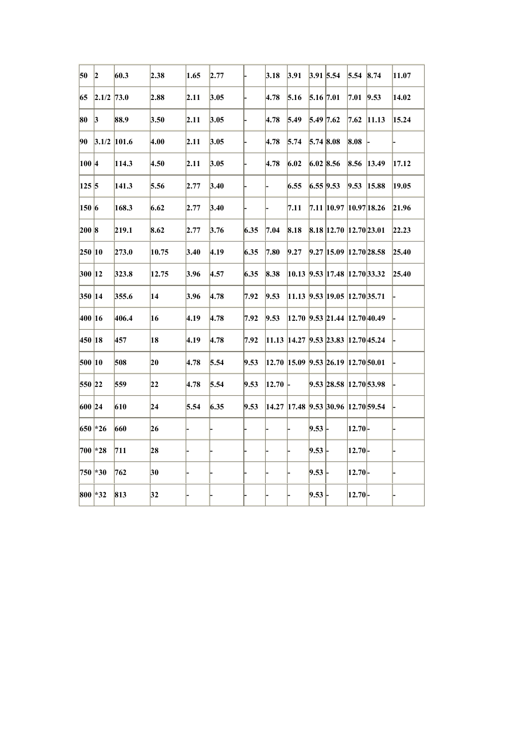| 50       | 2                                                                        | 60.3                       | 2.38  | 1.65           | 2.77           |      | 3.18             | 3.91 |             | $3.91$ 5.54                                 | $5.54$ 8.74   |                                | 11.07 |
|----------|--------------------------------------------------------------------------|----------------------------|-------|----------------|----------------|------|------------------|------|-------------|---------------------------------------------|---------------|--------------------------------|-------|
|          | $\begin{array}{ c c c c c } \hline 65 & 2.1/2 & 73.0 \hline \end{array}$ |                            | 2.88  | 2.11           | 3.05           |      | 4.78             | 5.16 |             | $5.16$ 7.01                                 | $ 7.01 $ 9.53 |                                | 14.02 |
| 80 3     |                                                                          | 88.9                       | 3.50  | 2.11           | 3.05           |      | 4.78             | 5.49 | $5.49$ 7.62 |                                             |               | $7.62$ 11.13                   | 15.24 |
|          |                                                                          | $90\quad 3.1/2\quad 101.6$ | 4.00  | 2.11           | 3.05           |      | 4.78             | 5.74 | $5.74$ 8.08 |                                             | 8.08          |                                |       |
| 100 4    |                                                                          | 114.3                      | 4.50  | 2.11           | 3.05           |      | 4.78             | 6.02 |             | $6.02$ 8.56                                 |               | $\vert 8.56 \vert 13.49 \vert$ | 17.12 |
| 125 5    |                                                                          | 141.3                      | 5.56  | 2.77           | 3.40           |      |                  | 6.55 |             | $6.55$ 9.53                                 |               | $9.53$ 15.88                   | 19.05 |
| 150 6    |                                                                          | 168.3                      | 6.62  | 2.77           | 3.40           |      |                  | 7.11 |             | 7.11  10.97  10.97 18.26                    |               |                                | 21.96 |
| 200 8    |                                                                          | 219.1                      | 8.62  | 2.77           | 3.76           | 6.35 | 7.04             | 8.18 |             | 8.18 12.70 12.70 23.01                      |               |                                | 22.23 |
| 250 10   |                                                                          | 273.0                      | 10.75 | 3.40           | $ 4.19\rangle$ | 6.35 | 7.80             | 9.27 |             | $9.27$ 15.09 12.70 28.58                    |               |                                | 25.40 |
| 300 12   |                                                                          | 323.8                      | 12.75 | 3.96           | 4.57           | 6.35 | 8.38             |      |             | $ 10.13 $ 9.53 17.48 12.70 33.32            |               |                                | 25.40 |
| 350 14   |                                                                          | 355.6                      | 14    | 3.96           | 4.78           | 7.92 | 9.53             |      |             | 11.13 9.53 19.05 12.70 35.71                |               |                                |       |
| 400 16   |                                                                          | 406.4                      | 16    | $ 4.19\rangle$ | 4.78           | 7.92 | 9.53             |      |             | $ 12.70 $ 9.53 21.44 12.70 40.49            |               |                                |       |
| 450 18   |                                                                          | 457                        | 18    | $ 4.19\rangle$ | 4.78           | 7.92 |                  |      |             | 11.13 14.27 9.53 23.83 12.70 45.24          |               |                                |       |
| 500 10   |                                                                          | 508                        | 20    | 4.78           | 5.54           | 9.53 |                  |      |             | 12.70 15.09 9.53 26.19 12.70 50.01          |               |                                |       |
| 550 22   |                                                                          | 559                        | 22    | 4.78           | 5.54           | 9.53 | $12.70$ $\vdash$ |      |             | 9.53 28.58 12.70 53.98                      |               |                                |       |
| 600 24   |                                                                          | 610                        | 24    | 5.54           | 6.35           | 9.53 |                  |      |             | 14.27  17.48   9.53   30.96   12.70   59.54 |               |                                |       |
| 650 * 26 |                                                                          | 660                        | 26    |                |                |      |                  |      | 9.53        |                                             | $ 12.70 $ -   |                                |       |
| 700 * 28 |                                                                          | 711                        | 28    |                |                |      |                  |      | 9.53        |                                             | 12.70         |                                |       |
| 750 * 30 |                                                                          | 762                        | 30    |                |                |      |                  |      | 9.53        |                                             | 12.70 -       |                                |       |
| 800 * 32 |                                                                          | 813                        | 32    |                |                |      |                  |      | 9.53        |                                             | 12.70         |                                |       |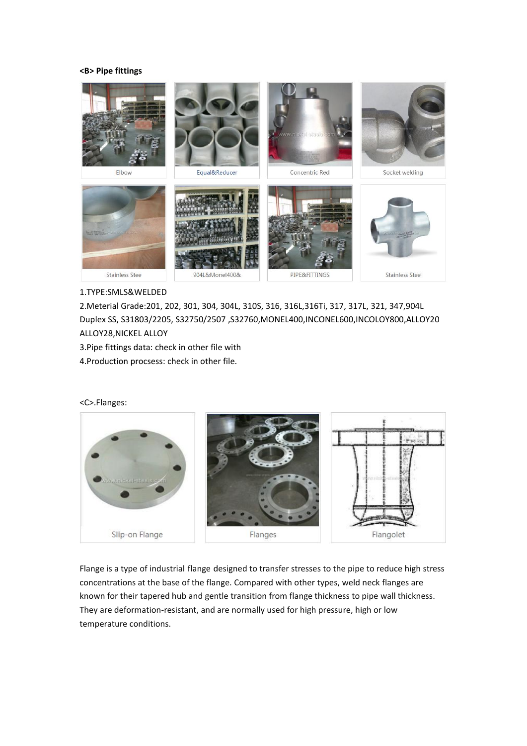#### **<B> Pipe fittings**



1.TYPE:SMLS&WELDED

2.Meterial Grade:201, 202, 301, 304, 304L, 310S, 316, 316L,316Ti, 317, 317L, 321, 347,904L Duplex SS, S31803/2205, S32750/2507 ,S32760,MONEL400,INCONEL600,INCOLOY800,ALLOY20 ALLOY28,NICKEL ALLOY

3. Pipe fittings data: check in other file with

4.Production procsess: check in other file.

<C>.Flanges:



Flange is a type of industrial [flange](http://www.yaang.com/Flanges-1.html) designed to transfer stresses to the pipe to reduce high stress concentrations at the base of the flange. Compared with other types, weld neck flanges are known for their tapered hub and gentle transition from flange thickness to pipe wall thickness. They are deformation-resistant, and are normally used for high pressure, high or low temperature conditions.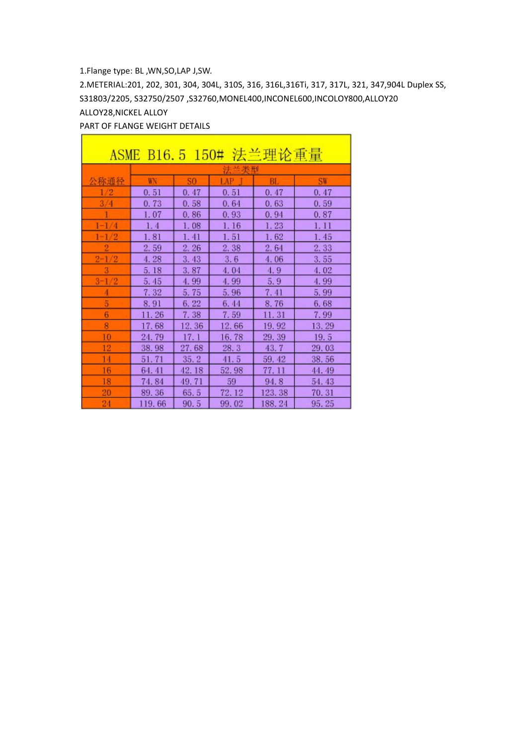#### 1.Flange type: BL ,WN,SO,LAP J,SW.

2.METERIAL:201, 202, 301, 304, 304L, 310S, 316, 316L,316Ti, 317, 317L, 321, 347,904L Duplex SS, S31803/2205, S32750/2507 ,S32760,MONEL400,INCONEL600,INCOLOY800,ALLOY20 ALLOY28,NICKEL ALLOY

٦

#### PART OF FLANGE WEIGHT DETAILS

Г

| 法兰理论重量<br>ASME B16.5 150# |        |       |       |        |       |  |  |  |  |  |  |
|---------------------------|--------|-------|-------|--------|-------|--|--|--|--|--|--|
|                           | 米刑     |       |       |        |       |  |  |  |  |  |  |
| 公称通径                      | WN     | SO.   | LAP   | BL.    | SW    |  |  |  |  |  |  |
| 1/2                       | 0.51   | 0.47  | 0.51  | 0.47   | 0.47  |  |  |  |  |  |  |
| 3/4                       | 0.73   | 0.58  | 0.64  | 0.63   | 0.59  |  |  |  |  |  |  |
|                           | 1.07   | 0.86  | 0.93  | 0.94   | 0.87  |  |  |  |  |  |  |
| $1 - 1/4$                 | 1.4    | 1.08  | 1.16  | 1.23   | 1. 11 |  |  |  |  |  |  |
| $1 - 1/2$                 | 1.81   | 1.41  | 1.51  | 1.62   | 1.45  |  |  |  |  |  |  |
|                           | 2.59   | 2.26  | 2.38  | 2.64   | 2.33  |  |  |  |  |  |  |
| $2 - 1/2$                 | 4.28   | 3.43  | 3, 6  | 4.06   | 3.55  |  |  |  |  |  |  |
|                           | 5.18   | 3.87  | 4.04  | 4, 9   | 4.02  |  |  |  |  |  |  |
| $3 - 1/2$                 | 5.45   | 4.99  | 4.99  | 5.9    | 4.99  |  |  |  |  |  |  |
|                           | 7.32   | 5.75  | 5.96  | 7.41   | 5.99  |  |  |  |  |  |  |
| 5                         | 8.91   | 6.22  | 6.44  | 8.76   | 6.68  |  |  |  |  |  |  |
| 6                         | 11.26  | 7.38  | 7.59  | 11. 31 | 7.99  |  |  |  |  |  |  |
| 8                         | 17.68  | 12.36 | 12.66 | 19.92  | 13.29 |  |  |  |  |  |  |
| 10                        | 24.79  | 17.1  | 16.78 | 29.39  | 19.5  |  |  |  |  |  |  |
| 12                        | 38.98  | 27.68 | 28.3  | 43.7   | 29.03 |  |  |  |  |  |  |
| 14                        | 51.71  | 35.2  | 41.5  | 59, 42 | 38.56 |  |  |  |  |  |  |
| 16                        | 64.41  | 42.18 | 52.98 | 77. 11 | 44.49 |  |  |  |  |  |  |
| 18                        | 74.84  | 49.71 | 59    | 94.8   | 54.43 |  |  |  |  |  |  |
| 20                        | 89.36  | 65.5  | 72.12 | 123.38 | 70.31 |  |  |  |  |  |  |
| 24                        | 119.66 | 90.5  | 99.02 | 188.24 | 95.25 |  |  |  |  |  |  |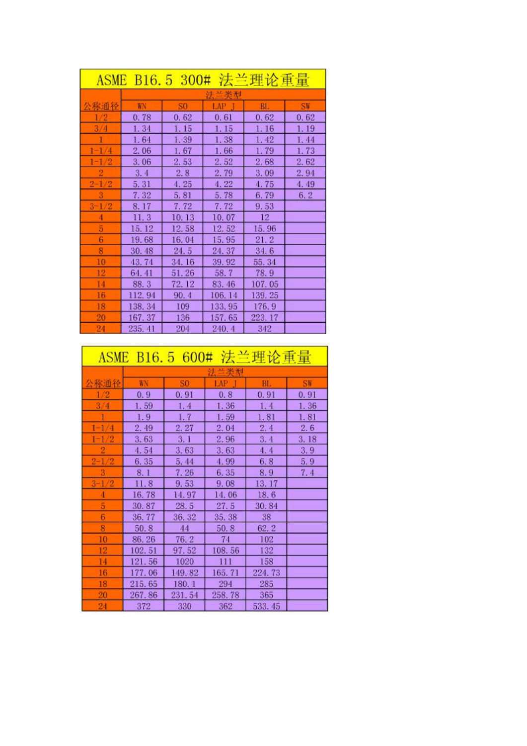| 法兰理论重量<br>ASME B16.5 300# |        |        |         |        |       |  |  |  |  |  |  |
|---------------------------|--------|--------|---------|--------|-------|--|--|--|--|--|--|
|                           | 兰类型    |        |         |        |       |  |  |  |  |  |  |
| 公称通径                      | WN     | S0     | LAP     | BL.    | SW    |  |  |  |  |  |  |
| $_{1/2}$                  | 0.78   | 0.62   | 0.61    | 0.62   | 0.62  |  |  |  |  |  |  |
| 3/4                       | 1.34   | 1. 15  | 1.15    | 1.16   | 1. 19 |  |  |  |  |  |  |
|                           | 1.64   | 1.39   | 1.38    | 1.42   | 1.44  |  |  |  |  |  |  |
| $1 - 1/4$                 | 2.06   | 1. 67  | 1.66    | 1.79   | 1.73  |  |  |  |  |  |  |
| $1 - 1/2$                 | 3.06   | 2.53   | 2.52    | 2.68   | 2,62  |  |  |  |  |  |  |
| $\overline{2}$            | 3.4    | 2, 8   | 2.79    | 3.09   | 2,94  |  |  |  |  |  |  |
| $2 - 1/2$                 | 5.31   | 4.25   | 4.22    | 4.75   | 4.49  |  |  |  |  |  |  |
|                           | 7.32   | 5.81   | 5.78    | 6.79   | 6.2   |  |  |  |  |  |  |
| $3 - 1/2$                 | 8.17   | 7.72   | 7.72    | 9.53   |       |  |  |  |  |  |  |
| $\overline{4}$            | 11.3   | 10.13  | 10.07   | 12     |       |  |  |  |  |  |  |
| 5                         | 15.12  | 12.58  | 12.52   | 15.96  |       |  |  |  |  |  |  |
| 6                         | 19.68  | 16.04  | 15.95   | 21.2   |       |  |  |  |  |  |  |
| 8                         | 30, 48 | 24.5   | 24.37   | 34.6   |       |  |  |  |  |  |  |
| $^{10}$                   | 43.74  | 34.16  | 39.92   | 55.34  |       |  |  |  |  |  |  |
| 12                        | 64.41  | 51.26  | 58.7    | 78.9   |       |  |  |  |  |  |  |
| 14                        | 88.3   | 72. 12 | 83.46   | 107.05 |       |  |  |  |  |  |  |
| 16                        | 112.94 | 90.4   | 106. 14 | 139.25 |       |  |  |  |  |  |  |
| 18                        | 138.34 | 109    | 133.95  | 176.9  |       |  |  |  |  |  |  |
| 20                        | 167.37 | 136    | 157.65  | 223.17 |       |  |  |  |  |  |  |
| 24                        | 235.41 | 204    | 240.4   | 342    |       |  |  |  |  |  |  |

| ASME B16.5 600# 法兰理论重量 |                               |        |        |         |      |  |  |  |  |  |  |
|------------------------|-------------------------------|--------|--------|---------|------|--|--|--|--|--|--|
|                        |                               |        |        |         |      |  |  |  |  |  |  |
| 公称通径                   | WN<br>S0<br>LAP.<br>BL.<br>SW |        |        |         |      |  |  |  |  |  |  |
| /2                     | 0.9                           | 0.91   | 0.8    | 0.91    | 0.91 |  |  |  |  |  |  |
| 3/4                    | 1.59                          | 1.4    | 1.36   | 1.4     | 1.36 |  |  |  |  |  |  |
|                        | 1.9                           | 1, 7   | 1.59   | 1.81    | 1.81 |  |  |  |  |  |  |
| $1 - 1/4$              | 2.49                          | 2.27   | 2.04   | 2.4     | 2.6  |  |  |  |  |  |  |
| $1 - 1/2$              | 3.63                          | 3.1    | 2.96   | 3.4     | 3.18 |  |  |  |  |  |  |
| 2                      | 4.54                          | 3.63   | 3.63   | 4.4     | 3, 9 |  |  |  |  |  |  |
| $2 - 1/2$              | 6.35                          | 5.44   | 4.99   | 6.8     | 5.9  |  |  |  |  |  |  |
| 3                      | 8.1                           | 7.26   | 6.35   | 8.9     | 7.4  |  |  |  |  |  |  |
| $3 - 1/2$              | 11.8                          | 9.53   | 9.08   | 13.17   |      |  |  |  |  |  |  |
| 4                      | 16.78                         | 14.97  | 14.06  | 18.6    |      |  |  |  |  |  |  |
| 5                      | 30.87                         | 28.5   | 27.5   | 30.84   |      |  |  |  |  |  |  |
| 6                      | 36.77                         | 36.32  | 35.38  | 38      |      |  |  |  |  |  |  |
| 8                      | 50.8                          | 44     | 50.8   | 62.2    |      |  |  |  |  |  |  |
| 10                     | 86.26                         | 76.2   | 74     | 102     |      |  |  |  |  |  |  |
| 12                     | 102.51                        | 97.52  | 108.56 | 132     |      |  |  |  |  |  |  |
| 14                     | 121.56                        | 1020   | 111    | 158     |      |  |  |  |  |  |  |
| 16                     | 177.06                        | 149.82 | 165.71 | 224, 73 |      |  |  |  |  |  |  |
| 18                     | 215.65                        | 180.1  | 294    | 285     |      |  |  |  |  |  |  |
| 20                     | 267.86                        | 231.54 | 258.78 | 365     |      |  |  |  |  |  |  |
| 24                     | 372                           | 330    | 362    | 533, 45 |      |  |  |  |  |  |  |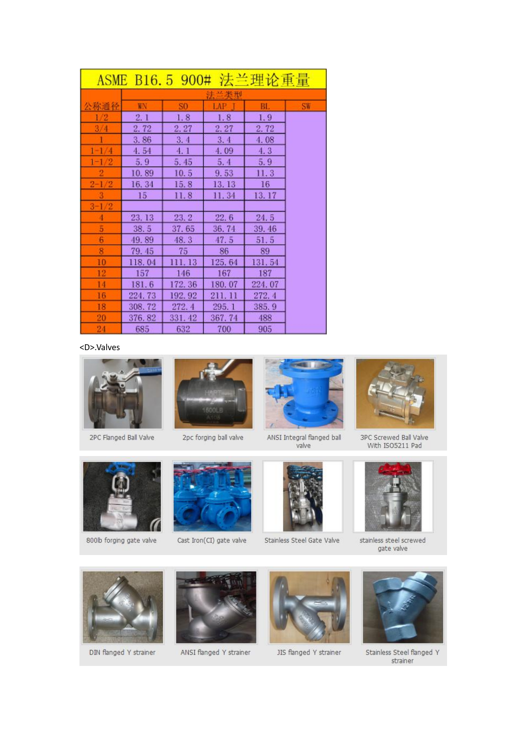| ASME B16.5 900# 法兰理论重量 |        |        |        |        |           |  |  |  |  |  |  |
|------------------------|--------|--------|--------|--------|-----------|--|--|--|--|--|--|
|                        |        |        |        |        |           |  |  |  |  |  |  |
| 公称通径                   | WN.    | S0     | LAP    | BL.    | <b>SW</b> |  |  |  |  |  |  |
| 1/2                    | 2.1    | 1.8    | 1.8    | 1.9    |           |  |  |  |  |  |  |
| 3/4                    | 2.72   | 2, 27  | 2,27   | 2.72   |           |  |  |  |  |  |  |
|                        | 3.86   | 3.4    | 3.4    | 4.08   |           |  |  |  |  |  |  |
| $1 - 1/4$              | 4.54   | 4.1    | 4.09   | 4.3    |           |  |  |  |  |  |  |
| $1 - 1/2$              | 5, 9   | 5.45   | 5, 4   | 5.9    |           |  |  |  |  |  |  |
|                        | 10.89  | 10.5   | 9.53   | 11.3   |           |  |  |  |  |  |  |
| $2 - 1/2$              | 16.34  | 15.8   | 13.13  | 16     |           |  |  |  |  |  |  |
|                        | 15     | 11.8   | 11.34  | 13.17  |           |  |  |  |  |  |  |
| $3 - 1/2$              |        |        |        |        |           |  |  |  |  |  |  |
|                        | 23. 13 | 23.2   | 22.6   | 24.5   |           |  |  |  |  |  |  |
| 5                      | 38.5   | 37.65  | 36.74  | 39.46  |           |  |  |  |  |  |  |
| 6                      | 49.89  | 48.3   | 47.5   | 51.5   |           |  |  |  |  |  |  |
| 8                      | 79.45  | 75     | 86     | 89     |           |  |  |  |  |  |  |
| 10                     | 118.04 | 111.13 | 125.64 | 131.54 |           |  |  |  |  |  |  |
| 12                     | 157    | 146    | 167    | 187    |           |  |  |  |  |  |  |
| 14                     | 181.6  | 172.36 | 180.07 | 224.07 |           |  |  |  |  |  |  |
| 16                     | 224.73 | 192.92 | 211.11 | 272.4  |           |  |  |  |  |  |  |
| 18                     | 308.72 | 272.4  | 295.1  | 385.9  |           |  |  |  |  |  |  |
| 20                     | 376.82 | 331.42 | 367.74 | 488    |           |  |  |  |  |  |  |
| 24                     | 685    | 632    | 700    | 905    |           |  |  |  |  |  |  |

<D>.Valves



2PC Flanged Ball Valve



2pc forging ball valve



ANSI Integral flanged ball<br>valve



Stainless Steel Gate Valve



3PC Screwed Ball Valve<br>With ISO5211 Pad



stainless steel screwed gate valve



800b forging gate valve

DIN flanged Y strainer



Cast Iron(CI) gate valve

ANSI flanged Y strainer



JIS flanged Y strainer



Stainless Steel flanged Y strainer